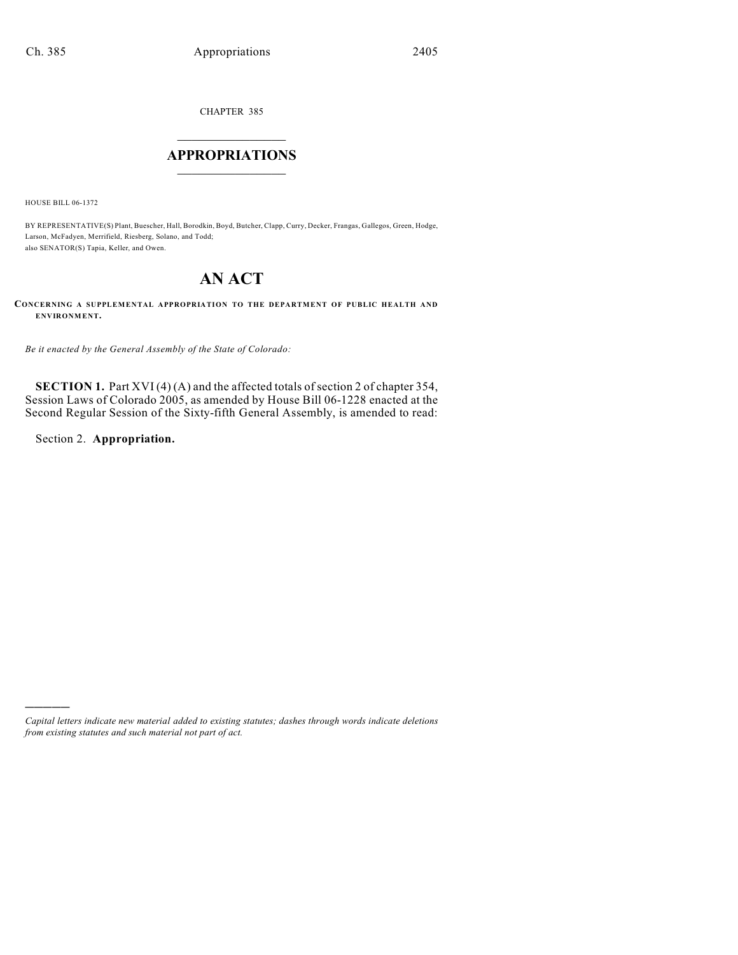CHAPTER 385

## $\overline{\phantom{a}}$  . The set of the set of the set of the set of the set of the set of the set of the set of the set of the set of the set of the set of the set of the set of the set of the set of the set of the set of the set o **APPROPRIATIONS**  $\_$   $\_$   $\_$   $\_$   $\_$   $\_$   $\_$   $\_$

HOUSE BILL 06-1372

BY REPRESENTATIVE(S) Plant, Buescher, Hall, Borodkin, Boyd, Butcher, Clapp, Curry, Decker, Frangas, Gallegos, Green, Hodge, Larson, McFadyen, Merrifield, Riesberg, Solano, and Todd; also SENATOR(S) Tapia, Keller, and Owen.

## **AN ACT**

**CONCERNING A SUPPLEMENTAL APPROPRIATION TO THE DEPARTMENT OF PUBLIC HEALTH AND ENVIRONMENT.**

*Be it enacted by the General Assembly of the State of Colorado:*

**SECTION 1.** Part XVI (4) (A) and the affected totals of section 2 of chapter 354, Session Laws of Colorado 2005, as amended by House Bill 06-1228 enacted at the Second Regular Session of the Sixty-fifth General Assembly, is amended to read:

Section 2. **Appropriation.**

)))))

*Capital letters indicate new material added to existing statutes; dashes through words indicate deletions from existing statutes and such material not part of act.*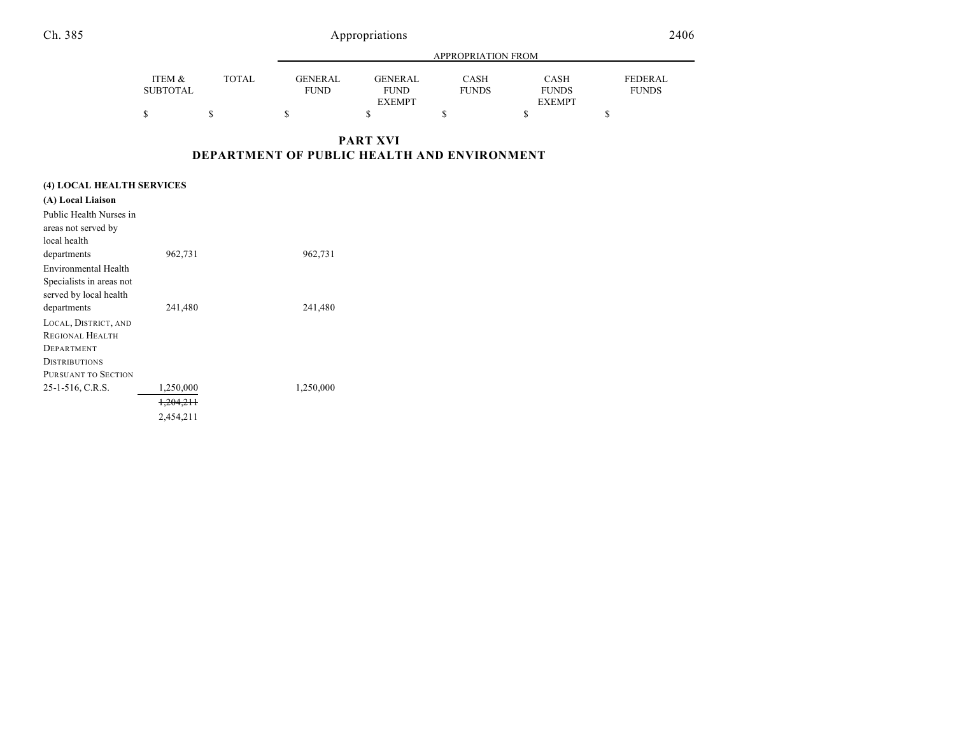Ch. 385 Appropriations

|                 |              | APPROPRIATION FROM |                |              |               |              |
|-----------------|--------------|--------------------|----------------|--------------|---------------|--------------|
| ITEM &          | <b>TOTAL</b> | <b>GENERAL</b>     | <b>GENERAL</b> | <b>CASH</b>  | CASH          | FEDERAL      |
| <b>SUBTOTAL</b> |              | <b>FUND</b>        | <b>FUND</b>    | <b>FUNDS</b> | <b>FUNDS</b>  | <b>FUNDS</b> |
|                 |              |                    | <b>EXEMPT</b>  |              | <b>EXEMPT</b> |              |
| \$              |              |                    |                |              |               |              |

**PART XVI DEPARTMENT OF PUBLIC HEALTH AND ENVIRONMENT**

| (4) LOCAL HEALTH SERVICES |           |           |  |  |  |
|---------------------------|-----------|-----------|--|--|--|
| (A) Local Liaison         |           |           |  |  |  |
| Public Health Nurses in   |           |           |  |  |  |
| areas not served by       |           |           |  |  |  |
| local health              |           |           |  |  |  |
| departments               | 962,731   | 962,731   |  |  |  |
| Environmental Health      |           |           |  |  |  |
| Specialists in areas not  |           |           |  |  |  |
| served by local health    |           |           |  |  |  |
| departments               | 241,480   | 241,480   |  |  |  |
| LOCAL, DISTRICT, AND      |           |           |  |  |  |
| REGIONAL HEALTH           |           |           |  |  |  |
| DEPARTMENT                |           |           |  |  |  |
| <b>DISTRIBUTIONS</b>      |           |           |  |  |  |
| PURSUANT TO SECTION       |           |           |  |  |  |
| 25-1-516, C.R.S.          | 1,250,000 | 1,250,000 |  |  |  |
|                           | 1,204,211 |           |  |  |  |
|                           | 2.454.211 |           |  |  |  |